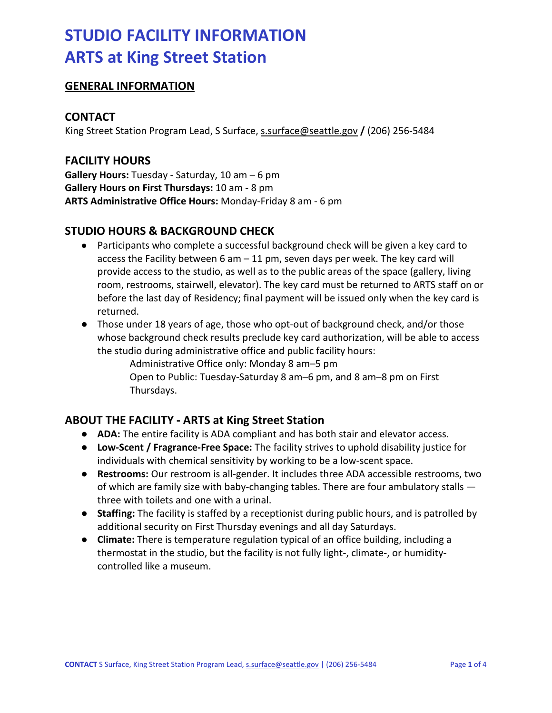### **GENERAL INFORMATION**

### **CONTACT**

King Street Station Program Lead, S Surface, [s.surface@seattle.gov](mailto:s.surface@seattle.gov) **/** (206) 256-5484

### **FACILITY HOURS**

**Gallery Hours:** Tuesday - Saturday, 10 am – 6 pm **Gallery Hours on First Thursdays:** 10 am - 8 pm **ARTS Administrative Office Hours:** Monday-Friday 8 am - 6 pm

## **STUDIO HOURS & BACKGROUND CHECK**

- Participants who complete a successful background check will be given a key card to access the Facility between 6 am – 11 pm, seven days per week. The key card will provide access to the studio, as well as to the public areas of the space (gallery, living room, restrooms, stairwell, elevator). The key card must be returned to ARTS staff on or before the last day of Residency; final payment will be issued only when the key card is returned.
- Those under 18 years of age, those who opt-out of background check, and/or those whose background check results preclude key card authorization, will be able to access the studio during administrative office and public facility hours:

Administrative Office only: Monday 8 am–5 pm Open to Public: Tuesday-Saturday 8 am–6 pm, and 8 am–8 pm on First Thursdays.

## **ABOUT THE FACILITY - ARTS at King Street Station**

- **ADA:** The entire facility is ADA compliant and has both stair and elevator access.
- **Low-Scent / Fragrance-Free Space:** The facility strives to uphold disability justice for individuals with chemical sensitivity by working to be a low-scent space.
- **Restrooms:** Our restroom is all-gender. It includes three ADA accessible restrooms, two of which are family size with baby-changing tables. There are four ambulatory stalls three with toilets and one with a urinal.
- **Staffing:** The facility is staffed by a receptionist during public hours, and is patrolled by additional security on First Thursday evenings and all day Saturdays.
- **Climate:** There is temperature regulation typical of an office building, including a thermostat in the studio, but the facility is not fully light-, climate-, or humiditycontrolled like a museum.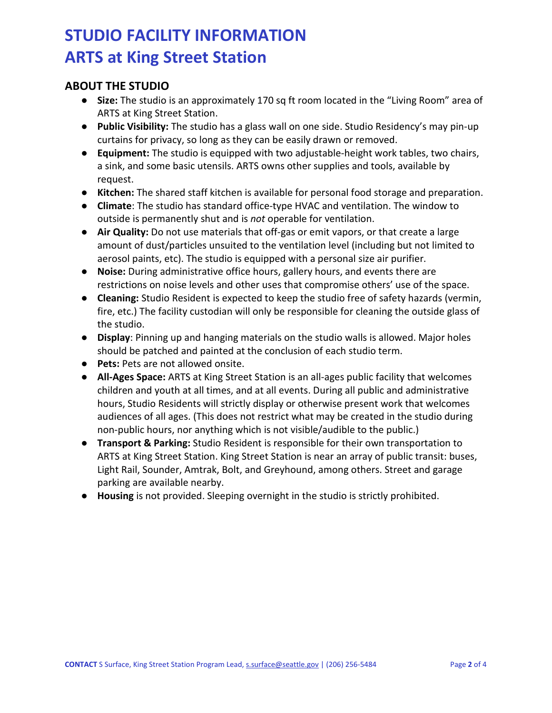## **ABOUT THE STUDIO**

- **Size:** The studio is an approximately 170 sq ft room located in the "Living Room" area of ARTS at King Street Station.
- **Public Visibility:** The studio has a glass wall on one side. Studio Residency's may pin-up curtains for privacy, so long as they can be easily drawn or removed.
- **Equipment:** The studio is equipped with two adjustable-height work tables, two chairs, a sink, and some basic utensils. ARTS owns other supplies and tools, available by request.
- **Kitchen:** The shared staff kitchen is available for personal food storage and preparation.
- **Climate**: The studio has standard office-type HVAC and ventilation. The window to outside is permanently shut and is *not* operable for ventilation.
- **Air Quality:** Do not use materials that off-gas or emit vapors, or that create a large amount of dust/particles unsuited to the ventilation level (including but not limited to aerosol paints, etc). The studio is equipped with a personal size air purifier.
- **Noise:** During administrative office hours, gallery hours, and events there are restrictions on noise levels and other uses that compromise others' use of the space.
- **Cleaning:** Studio Resident is expected to keep the studio free of safety hazards (vermin, fire, etc.) The facility custodian will only be responsible for cleaning the outside glass of the studio.
- **Display**: Pinning up and hanging materials on the studio walls is allowed. Major holes should be patched and painted at the conclusion of each studio term.
- **Pets:** Pets are not allowed onsite.
- **All-Ages Space:** ARTS at King Street Station is an all-ages public facility that welcomes children and youth at all times, and at all events. During all public and administrative hours, Studio Residents will strictly display or otherwise present work that welcomes audiences of all ages. (This does not restrict what may be created in the studio during non-public hours, nor anything which is not visible/audible to the public.)
- **Transport & Parking:** Studio Resident is responsible for their own transportation to ARTS at King Street Station. King Street Station is near an array of public transit: buses, Light Rail, Sounder, Amtrak, Bolt, and Greyhound, among others. Street and garage parking are available nearby.
- **Housing** is not provided. Sleeping overnight in the studio is strictly prohibited.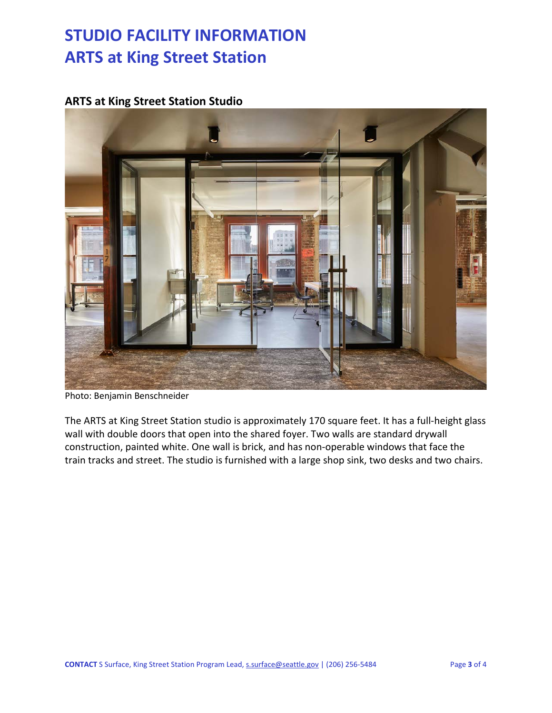## **ARTS at King Street Station Studio**



Photo: Benjamin Benschneider

The ARTS at King Street Station studio is approximately 170 square feet. It has a full-height glass wall with double doors that open into the shared foyer. Two walls are standard drywall construction, painted white. One wall is brick, and has non-operable windows that face the train tracks and street. The studio is furnished with a large shop sink, two desks and two chairs.